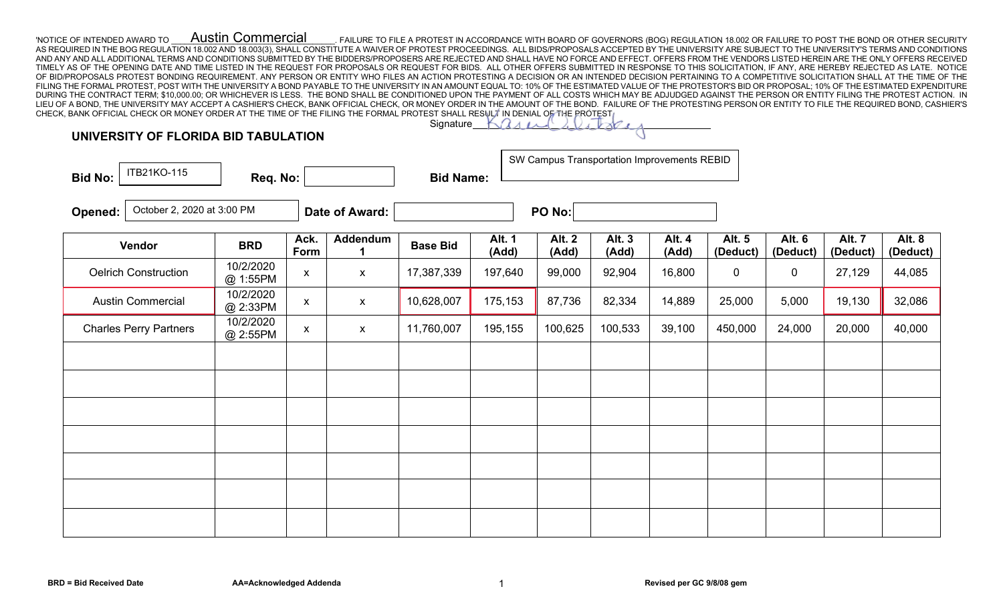'NOTICE OF INTENDED AWARD TO **AUSTIN COMMETCIAI** FAILURE TO FILE A PROTEST IN ACCORDANCE WITH BOARD OF GOVERNORS (BOG) REGULATION 18.002 OR FAILURE TO POST THE BOND OR OTHER SECURITY AS REQUIRED IN THE BOG REGULATION 18.002 AND 18.003(3), SHALL CONSTITUTE A WAIVER OF PROTEST PROCEEDINGS. ALL BIDS/PROPOSALS ACCEPTED BY THE UNIVERSITY ARE SUBJECT TO THE UNIVERSITY'S TERMS AND CONDITIONS AND ANY AND ALL ADDITIONAL TERMS AND CONDITIONS SUBMITTED BY THE BIDDERS/PROPOSERS ARE REJECTED AND SHALL HAVE NO FORCE AND EFFECT. OFFERS FROM THE VENDORS LISTED HEREIN ARE THE ONLY OFFERS RECEIVED TIMELY AS OF THE OPENING DATE AND TIME LISTED IN THE REQUEST FOR PROPOSALS OR REQUEST FOR BIDS. ALL OTHER OFFERS SUBMITTED IN RESPONSE TO THIS SOLICITATION, IF ANY, ARE HEREBY REJECTED AS LATE. NOTICE OF BID/PROPOSALS PROTEST BONDING REQUIREMENT. ANY PERSON OR ENTITY WHO FILES AN ACTION PROTESTING A DECISION OR AN INTENDED DECISION PERTAINING TO A COMPETITIVE SOLICITATION SHALL AT THE TIME OF THE FILING THE FORMAL PROTEST, POST WITH THE UNIVERSITY A BOND PAYABLE TO THE UNIVERSITY IN AN AMOUNT EQUAL TO: 10% OF THE ESTIMATED VALUE OF THE PROTESTOR'S BID OR PROPOSAL; 10% OF THE ESTIMATED EXPENDITURE DURING THE CONTRACT TERM; \$10,000.00; OR WHICHEVER IS LESS. THE BOND SHALL BE CONDITIONED UPON THE PAYMENT OF ALL COSTS WHICH MAY BE ADJUDGED AGAINST THE PERSON OR ENTITY FILING THE PROTEST ACTION. IN LIEU OF A BOND, THE UNIVERSITY MAY ACCEPT A CASHIER'S CHECK, BANK OFFICIAL CHECK, OR MONEY ORDER IN THE AMOUNT OF THE BOND. FAILURE OF THE PROTESTING PERSON OR ENTITY TO FILE THE REQUIRED BOND, CASHIER'S CHECK, BANK OFFICIAL CHECK OR MONEY ORDER AT THE TIME OF THE FILING THE FORMAL PROTEST SHALL RESULT IN DENIAL OF THE PROTEST. Austin Commercial

## **UNIVERSITY OF FLORIDA BID TABULATION**

| ITB21KO-115<br><b>Bid No:</b>         | Req. No:              |                    |                           | <b>Bid Name:</b> |                        | SW Campus Transportation Improvements REBID |                        |                        |                    |                    |                           |                          |
|---------------------------------------|-----------------------|--------------------|---------------------------|------------------|------------------------|---------------------------------------------|------------------------|------------------------|--------------------|--------------------|---------------------------|--------------------------|
| October 2, 2020 at 3:00 PM<br>Opened: |                       |                    | Date of Award:            | PO No:           |                        |                                             |                        |                        |                    |                    |                           |                          |
| Vendor                                | <b>BRD</b>            | Ack.<br>Form       | Addendum                  | <b>Base Bid</b>  | <b>Alt. 1</b><br>(Add) | <b>Alt. 2</b><br>(Add)                      | <b>Alt. 3</b><br>(Add) | <b>Alt. 4</b><br>(Add) | Alt. 5<br>(Deduct) | Alt. 6<br>(Deduct) | <b>Alt. 7</b><br>(Deduct) | <b>Alt. 8</b><br>(Deduct |
| <b>Oelrich Construction</b>           | 10/2/2020<br>@ 1:55PM | $\pmb{\mathsf{X}}$ | $\boldsymbol{\mathsf{X}}$ | 17,387,339       | 197,640                | 99,000                                      | 92,904                 | 16,800                 | $\mathbf 0$        | $\overline{0}$     | 27,129                    | 44,085                   |
| <b>Austin Commercial</b>              | 10/2/2020<br>@ 2:33PM | $\pmb{\mathsf{X}}$ | $\pmb{\mathsf{X}}$        | 10,628,007       | 175,153                | 87,736                                      | 82,334                 | 14,889                 | 25,000             | 5,000              | 19,130                    | 32,086                   |
| <b>Charles Perry Partners</b>         | 10/2/2020<br>@ 2:55PM | $\pmb{\mathsf{X}}$ | $\boldsymbol{\mathsf{X}}$ | 11,760,007       | 195,155                | 100,625                                     | 100,533                | 39,100                 | 450,000            | 24,000             | 20,000                    | 40,000                   |
|                                       |                       |                    |                           |                  |                        |                                             |                        |                        |                    |                    |                           |                          |
|                                       |                       |                    |                           |                  |                        |                                             |                        |                        |                    |                    |                           |                          |
|                                       |                       |                    |                           |                  |                        |                                             |                        |                        |                    |                    |                           |                          |
|                                       |                       |                    |                           |                  |                        |                                             |                        |                        |                    |                    |                           |                          |
|                                       |                       |                    |                           |                  |                        |                                             |                        |                        |                    |                    |                           |                          |

Signature

**Alt. 8 (Deduct)**